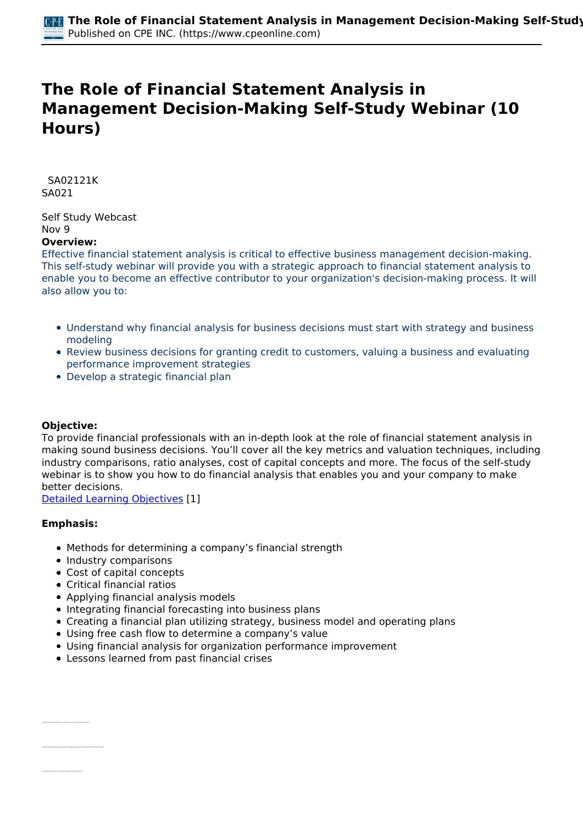# **The Role of Financial Statement Analysis in Management Decision-Making Self-Study Webinar (10 Hours)**

 *SA02121K SA021* 

*Self Study Webcast Nov 9* 

## **Overview:**

*Effective financial statement analysis is critical to effective business management decision-making. This self-study webinar will provide you with a strategic approach to financial statement analysis to enable you to become an effective contributor to your organization's decision-making process. It will also allow you to:*

- *Understand why financial analysis for business decisions must start with strategy and business modeling*
- *Review business decisions for granting credit to customers, valuing a business and evaluating performance improvement strategies*
- *Develop a strategic financial plan*

#### **Objective:**

*To provide financial professionals with an in-depth look at the role of financial statement analysis in making sound business decisions. You'll cover all the key metrics and valuation techniques, including industry comparisons, ratio analyses, cost of capital concepts and more. The focus of the self-study webinar is to show you how to do financial analysis that enables you and your company to make better decisions.*

*[Detailed Learning Objectives](https://www.cpeonline.com/JavaScript:showObjectivesPopup();) [1]*

#### **Emphasis:**

*• Recognize the priorities of corporate long-term strategic planning*

- *Methods for determining a company's financial strength*
- *Industry comparisons*
- *Cost of capital concepts*
- *Critical financial ratios*
- *Applying financial analysis models*
- *Integrating financial forecasting into business plans*
- *Creating a financial plan utilizing strategy, business model and operating plans*
- *Using free cash flow to determine a company's value*
- *Using financial analysis for organization performance improvement*
- *Lessons learned from past financial crises*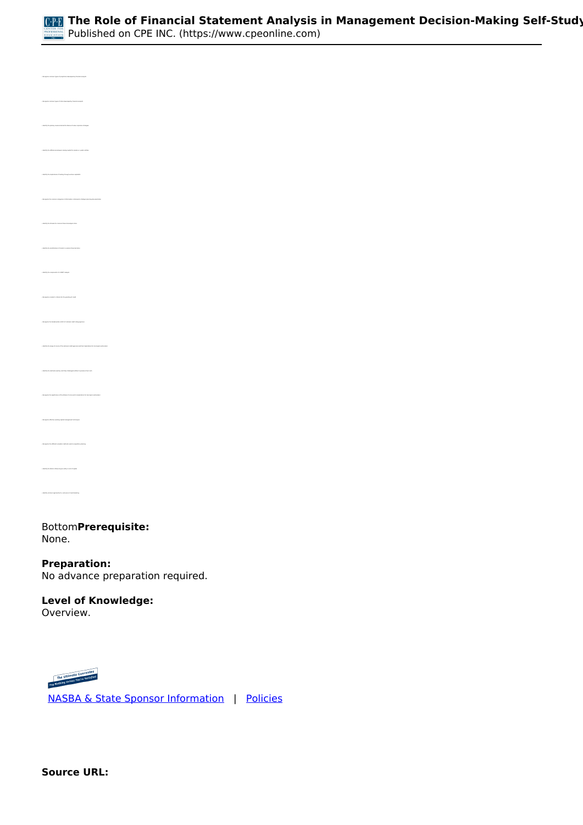

| .<br>In comment grow of nation developed by Emercial analysis                                                                                                            |
|--------------------------------------------------------------------------------------------------------------------------------------------------------------------------|
| ily the primary masses behind the falses of some corporate stru                                                                                                          |
| .<br>Interfy the differences between taking sapital for pricetor os, public antities                                                                                     |
| .<br>Up the implications of funding through vertices on                                                                                                                  |
| plate the common categories of information contained in sinate pic planning documen                                                                                      |
| .<br>Ay ika-kamula ke camman financial analysis sati                                                                                                                     |
| $\label{thm:main} \centering \begin{minipage}{0.9\linewidth} \textbf{``intensity} is a nontrivial number of numbers for each of the number of elements.} \end{minipage}$ |
| .<br>Ty the components of a SMCT analysis                                                                                                                                |
| pieca lender's orie<br>in the this granting of credit                                                                                                                    |
| print the furnismental conflict of national credit neting agains<br>$\ddot{h}$                                                                                           |
| .<br>Takently the carge of source of the national entity agencies and their impleations for komment and in                                                               |
| . Martify the methods week by seak flow shallenged entities to presurve their seak                                                                                       |
| grave the significance of the Altimat 2 score and its impleations for increases and let                                                                                  |
| · Reception offeritive working sapital management test                                                                                                                   |
| .<br>On the different valuation mathema wast in acquisition ;                                                                                                            |
| ily the factors influencing an antity's cost of our                                                                                                                      |
|                                                                                                                                                                          |

#### *Bottom***Prerequisite:**  *None.*

**Preparation:**  *No advance preparation required.*

# **Level of Knowledge:**

*Overview.*



 *[NASBA & State Sponsor Information](https://www.cpeonline.com/sponsor-information)  |  [Policies](https://www.cpeonline.com/policies)*